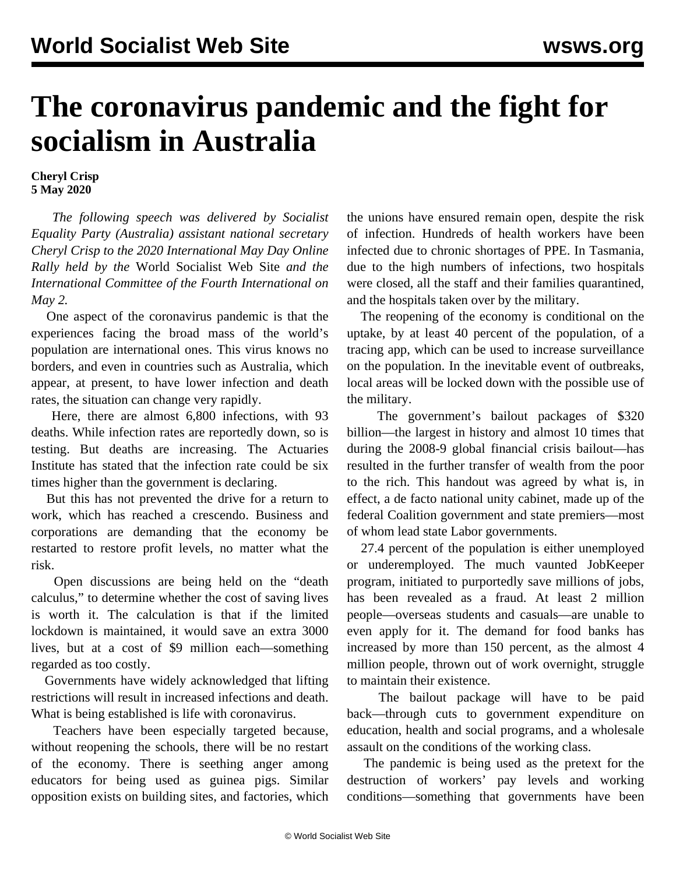## **The coronavirus pandemic and the fight for socialism in Australia**

## **Cheryl Crisp 5 May 2020**

 *The following speech was delivered by Socialist Equality Party (Australia) assistant national secretary Cheryl Crisp to the 2020 International May Day Online Rally held by the* World Socialist Web Site *and the International Committee of the Fourth International on May 2.*

 One aspect of the coronavirus pandemic is that the experiences facing the broad mass of the world's population are international ones. This virus knows no borders, and even in countries such as Australia, which appear, at present, to have lower infection and death rates, the situation can change very rapidly.

 Here, there are almost 6,800 infections, with 93 deaths. While infection rates are reportedly down, so is testing. But deaths are increasing. The Actuaries Institute has stated that the infection rate could be six times higher than the government is declaring.

 But this has not prevented the drive for a return to work, which has reached a crescendo. Business and corporations are demanding that the economy be restarted to restore profit levels, no matter what the risk.

 Open discussions are being held on the "death calculus," to determine whether the cost of saving lives is worth it. The calculation is that if the limited lockdown is maintained, it would save an extra 3000 lives, but at a cost of \$9 million each—something regarded as too costly.

 Governments have widely acknowledged that lifting restrictions will result in increased infections and death. What is being established is life with coronavirus.

 Teachers have been especially targeted because, without reopening the schools, there will be no restart of the economy. There is seething anger among educators for being used as guinea pigs. Similar opposition exists on building sites, and factories, which the unions have ensured remain open, despite the risk of infection. Hundreds of health workers have been infected due to chronic shortages of PPE. In Tasmania, due to the high numbers of infections, two hospitals were closed, all the staff and their families quarantined, and the hospitals taken over by the military.

 The reopening of the economy is conditional on the uptake, by at least 40 percent of the population, of a tracing app, which can be used to increase surveillance on the population. In the inevitable event of outbreaks, local areas will be locked down with the possible use of the military.

 The government's bailout packages of \$320 billion—the largest in history and almost 10 times that during the 2008-9 global financial crisis bailout—has resulted in the further transfer of wealth from the poor to the rich. This handout was agreed by what is, in effect, a de facto national unity cabinet, made up of the federal Coalition government and state premiers—most of whom lead state Labor governments.

 27.4 percent of the population is either unemployed or underemployed. The much vaunted JobKeeper program, initiated to purportedly save millions of jobs, has been revealed as a fraud. At least 2 million people—overseas students and casuals—are unable to even apply for it. The demand for food banks has increased by more than 150 percent, as the almost 4 million people, thrown out of work overnight, struggle to maintain their existence.

 The bailout package will have to be paid back—through cuts to government expenditure on education, health and social programs, and a wholesale assault on the conditions of the working class.

 The pandemic is being used as the pretext for the destruction of workers' pay levels and working conditions—something that governments have been